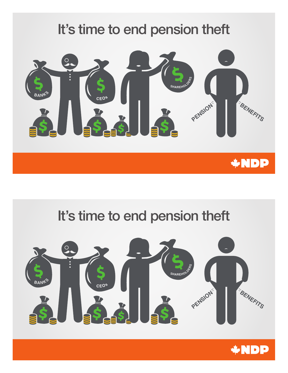

## It's time to end pension theft